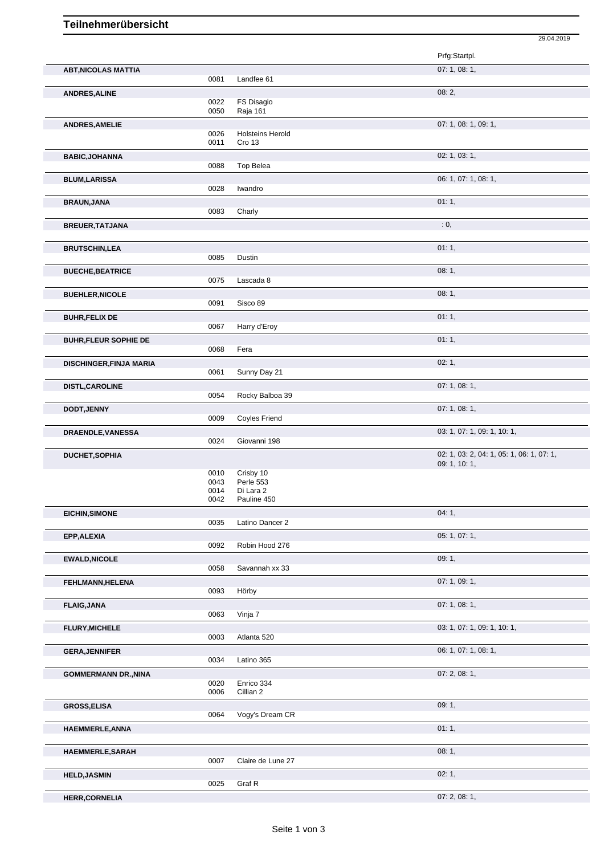## **Teilnehmerübersicht**

|                                |              |                         | 29.04.2019                                |  |
|--------------------------------|--------------|-------------------------|-------------------------------------------|--|
|                                |              |                         | Prfg:Startpl.                             |  |
| <b>ABT, NICOLAS MATTIA</b>     | 0081         | Landfee 61              | 07: 1, 08: 1,                             |  |
| <b>ANDRES, ALINE</b>           |              |                         | 08:2,                                     |  |
|                                | 0022         | FS Disagio              |                                           |  |
|                                | 0050         | Raja 161                |                                           |  |
| ANDRES, AMELIE                 |              |                         | 07: 1, 08: 1, 09: 1,                      |  |
|                                | 0026         | <b>Holsteins Herold</b> |                                           |  |
|                                | 0011         | Cro 13                  |                                           |  |
| <b>BABIC, JOHANNA</b>          | 0088         | Top Belea               | 02: 1, 03: 1,                             |  |
|                                |              |                         |                                           |  |
| <b>BLUM,LARISSA</b>            | 0028         | Iwandro                 | 06: 1, 07: 1, 08: 1,                      |  |
|                                |              |                         |                                           |  |
| <b>BRAUN, JANA</b>             | 0083         |                         | 01:1,                                     |  |
|                                |              | Charly                  |                                           |  |
| BREUER, TATJANA                |              |                         | : 0,                                      |  |
| <b>BRUTSCHIN,LEA</b>           |              |                         | 01:1,                                     |  |
|                                | 0085         | Dustin                  |                                           |  |
| <b>BUECHE, BEATRICE</b>        |              |                         | 08:1,                                     |  |
|                                | 0075         | Lascada 8               |                                           |  |
| <b>BUEHLER, NICOLE</b>         |              |                         | 08:1,                                     |  |
|                                | 0091         | Sisco 89                |                                           |  |
| <b>BUHR, FELIX DE</b>          |              |                         | 01:1,                                     |  |
|                                | 0067         | Harry d'Eroy            |                                           |  |
| <b>BUHR, FLEUR SOPHIE DE</b>   |              |                         | 01:1,                                     |  |
|                                | 0068         | Fera                    |                                           |  |
| <b>DISCHINGER, FINJA MARIA</b> |              |                         | 02:1,                                     |  |
|                                | 0061         | Sunny Day 21            |                                           |  |
| DISTL, CAROLINE                |              |                         | 07: 1, 08: 1,                             |  |
|                                | 0054         | Rocky Balboa 39         |                                           |  |
| DODT, JENNY                    |              |                         | 07: 1, 08: 1,                             |  |
|                                | 0009         | <b>Coyles Friend</b>    |                                           |  |
| DRAENDLE, VANESSA              |              |                         | 03: 1, 07: 1, 09: 1, 10: 1,               |  |
|                                | 0024         | Giovanni 198            |                                           |  |
| DUCHET, SOPHIA                 |              |                         | 02: 1, 03: 2, 04: 1, 05: 1, 06: 1, 07: 1, |  |
|                                |              |                         | 09: 1, 10: 1,                             |  |
|                                | 0010         | Crisby 10               |                                           |  |
|                                | 0043<br>0014 | Perle 553<br>Di Lara 2  |                                           |  |
|                                | 0042         | Pauline 450             |                                           |  |
| <b>EICHIN, SIMONE</b>          |              |                         | 04:1,                                     |  |
|                                | 0035         | Latino Dancer 2         |                                           |  |
| EPP, ALEXIA                    |              |                         | 05: 1, 07: 1,                             |  |
|                                | 0092         | Robin Hood 276          |                                           |  |
| <b>EWALD, NICOLE</b>           |              |                         | 09:1,                                     |  |
|                                | 0058         | Savannah xx 33          |                                           |  |
| FEHLMANN, HELENA               |              |                         | 07: 1, 09: 1,                             |  |
|                                | 0093         | Hörby                   |                                           |  |
| <b>FLAIG, JANA</b>             |              |                         | 07: 1, 08: 1,                             |  |
|                                | 0063         | Vinja 7                 |                                           |  |
|                                |              |                         | 03: 1, 07: 1, 09: 1, 10: 1,               |  |
| <b>FLURY, MICHELE</b>          | 0003         | Atlanta 520             |                                           |  |
|                                |              |                         | 06: 1, 07: 1, 08: 1,                      |  |
| <b>GERA, JENNIFER</b>          | 0034         | Latino 365              |                                           |  |
|                                |              |                         |                                           |  |
| <b>GOMMERMANN DR., NINA</b>    | 0020         | Enrico 334              | 07: 2, 08: 1,                             |  |
|                                | 0006         | Cillian 2               |                                           |  |
| <b>GROSS, ELISA</b>            |              |                         | 09:1,                                     |  |
|                                | 0064         | Vogy's Dream CR         |                                           |  |
| HAEMMERLE, ANNA                |              |                         | 01:1,                                     |  |
|                                |              |                         |                                           |  |
|                                |              |                         | 08:1,                                     |  |
| HAEMMERLE, SARAH               | 0007         | Claire de Lune 27       |                                           |  |
|                                |              |                         |                                           |  |
| <b>HELD, JASMIN</b>            | 0025         | Graf R                  | 02:1,                                     |  |
|                                |              |                         | 07: 2, 08: 1,                             |  |
| <b>HERR,CORNELIA</b>           |              |                         |                                           |  |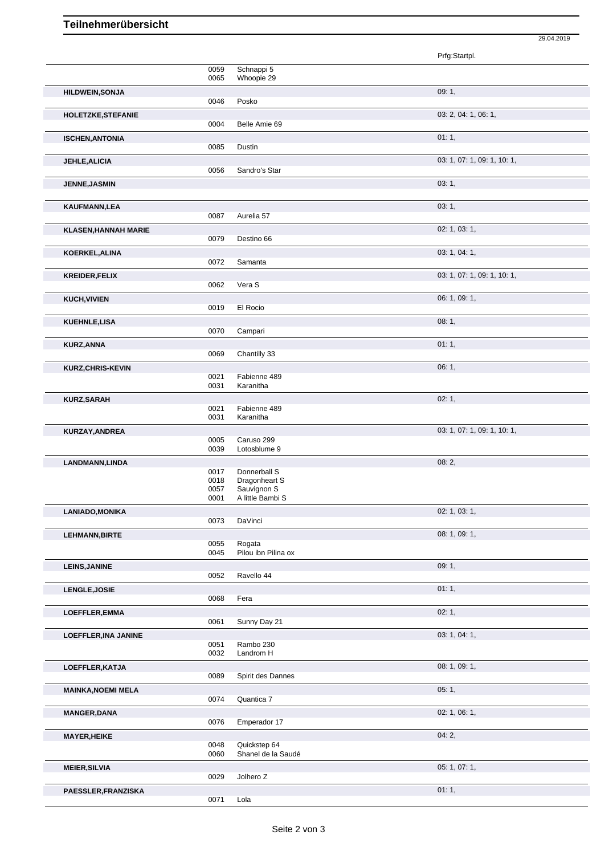## **Teilnehmerübersicht**

|                             |              |                                    | Prfg:Startpl.               |
|-----------------------------|--------------|------------------------------------|-----------------------------|
|                             | 0059         | Schnappi 5                         |                             |
|                             | 0065         | Whoopie 29                         |                             |
| <b>HILDWEIN, SONJA</b>      |              |                                    | 09:1,                       |
|                             | 0046         | Posko                              |                             |
| HOLETZKE, STEFANIE          | 0004         | Belle Amie 69                      | 03: 2, 04: 1, 06: 1,        |
|                             |              |                                    | 01:1,                       |
| <b>ISCHEN, ANTONIA</b>      | 0085         | Dustin                             |                             |
| <b>JEHLE, ALICIA</b>        |              |                                    | 03: 1, 07: 1, 09: 1, 10: 1, |
|                             | 0056         | Sandro's Star                      |                             |
| <b>JENNE, JASMIN</b>        |              |                                    | 03:1,                       |
|                             |              |                                    |                             |
| <b>KAUFMANN,LEA</b>         |              | Aurelia 57                         | 03:1,                       |
|                             | 0087         |                                    |                             |
| <b>KLASEN, HANNAH MARIE</b> | 0079         | Destino 66                         | 02: 1, 03: 1,               |
| KOERKEL, ALINA              |              |                                    | 03: 1, 04: 1,               |
|                             | 0072         | Samanta                            |                             |
| <b>KREIDER, FELIX</b>       |              |                                    | 03: 1, 07: 1, 09: 1, 10: 1, |
|                             | 0062         | Vera S                             |                             |
| <b>KUCH, VIVIEN</b>         |              |                                    | 06: 1, 09: 1,               |
|                             | 0019         | El Rocio                           |                             |
| <b>KUEHNLE,LISA</b>         | 0070         | Campari                            | 08:1,                       |
|                             |              |                                    | 01:1,                       |
| <b>KURZ, ANNA</b>           | 0069         | Chantilly 33                       |                             |
| KURZ, CHRIS-KEVIN           |              |                                    | 06:1,                       |
|                             | 0021         | Fabienne 489                       |                             |
|                             | 0031         | Karanitha                          |                             |
| <b>KURZ,SARAH</b>           |              | Fabienne 489                       | 02:1,                       |
|                             | 0021<br>0031 | Karanitha                          |                             |
| KURZAY, ANDREA              |              |                                    | 03: 1, 07: 1, 09: 1, 10: 1, |
|                             | 0005         | Caruso 299                         |                             |
|                             | 0039         | Lotosblume 9                       |                             |
| LANDMANN, LINDA             | 0017         | Donnerball S                       | 08:2,                       |
|                             | 0018         | Dragonheart S                      |                             |
|                             | 0057<br>0001 | Sauvignon S<br>A little Bambi S    |                             |
| LANIADO, MONIKA             |              |                                    | 02: 1, 03: 1,               |
|                             | 0073         | DaVinci                            |                             |
| <b>LEHMANN, BIRTE</b>       |              |                                    | 08: 1, 09: 1,               |
|                             | 0055         | Rogata                             |                             |
|                             | 0045         | Pilou ibn Pilina ox                |                             |
| <b>LEINS, JANINE</b>        | 0052         | Ravello 44                         | 09:1,                       |
| LENGLE, JOSIE               |              |                                    | 01:1,                       |
|                             | 0068         | Fera                               |                             |
| LOEFFLER, EMMA              |              |                                    | 02:1,                       |
|                             | 0061         | Sunny Day 21                       |                             |
| LOEFFLER, INA JANINE        |              |                                    | 03: 1, 04: 1,               |
|                             | 0051<br>0032 | Rambo 230<br>Landrom H             |                             |
|                             |              |                                    | 08: 1, 09: 1,               |
| LOEFFLER, KATJA             | 0089         | Spirit des Dannes                  |                             |
| <b>MAINKA, NOEMI MELA</b>   |              |                                    | 05:1,                       |
|                             | 0074         | Quantica 7                         |                             |
| <b>MANGER, DANA</b>         |              |                                    | 02: 1, 06: 1,               |
|                             | 0076         | Emperador 17                       |                             |
| <b>MAYER, HEIKE</b>         |              |                                    | 04:2,                       |
|                             | 0048<br>0060 | Quickstep 64<br>Shanel de la Saudé |                             |
| <b>MEIER, SILVIA</b>        |              |                                    | 05: 1, 07: 1,               |
|                             | 0029         | Jolhero Z                          |                             |
| PAESSLER, FRANZISKA         |              |                                    | 01:1,                       |
|                             | 0071         | Lola                               |                             |

29.04.2019